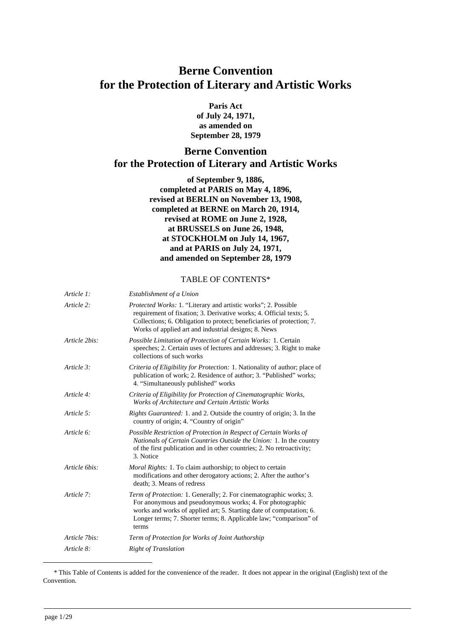# **Berne Convention for the Protection of Literary and Artistic Works**

**Paris Act of July 24, 1971, as amended on September 28, 1979**

## **Berne Convention for the Protection of Literary and Artistic Works**

**of September 9, 1886, completed at PARIS on May 4, 1896, revised at BERLIN on November 13, 1908, completed at BERNE on March 20, 1914, revised at ROME on June 2, 1928, at BRUSSELS on June 26, 1948, at STOCKHOLM on July 14, 1967, and at PARIS on July 24, 1971, and amended on September 28, 1979**

#### TABLE OF CONTENTS\*

| Article 1:           | Establishment of a Union                                                                                                                                                                                                                                                              |
|----------------------|---------------------------------------------------------------------------------------------------------------------------------------------------------------------------------------------------------------------------------------------------------------------------------------|
| Article 2:           | <i>Protected Works: 1. "Literary and artistic works"; 2. Possible</i><br>requirement of fixation; 3. Derivative works; 4. Official texts; 5.<br>Collections; 6. Obligation to protect; beneficiaries of protection; 7.<br>Works of applied art and industrial designs; 8. News        |
| Article 2bis:        | Possible Limitation of Protection of Certain Works: 1. Certain<br>speeches; 2. Certain uses of lectures and addresses; 3. Right to make<br>collections of such works                                                                                                                  |
| Article 3:           | <i>Criteria of Eligibility for Protection:</i> 1. Nationality of author; place of<br>publication of work; 2. Residence of author; 3. "Published" works;<br>4. "Simultaneously published" works                                                                                        |
| Article 4:           | Criteria of Eligibility for Protection of Cinematographic Works,<br>Works of Architecture and Certain Artistic Works                                                                                                                                                                  |
| Article 5:           | <i>Rights Guaranteed:</i> 1. and 2. Outside the country of origin; 3. In the<br>country of origin; 4. "Country of origin"                                                                                                                                                             |
| Article 6:           | Possible Restriction of Protection in Respect of Certain Works of<br>Nationals of Certain Countries Outside the Union: 1. In the country<br>of the first publication and in other countries; 2. No retroactivity;<br>3. Notice                                                        |
| Article <i>bis</i> : | <i>Moral Rights:</i> 1. To claim authorship; to object to certain<br>modifications and other derogatory actions; 2. After the author's<br>death: 3. Means of redress                                                                                                                  |
| Article 7:           | Term of Protection: 1. Generally; 2. For cinematographic works; 3.<br>For anonymous and pseudonymous works; 4. For photographic<br>works and works of applied art; 5. Starting date of computation; 6.<br>Longer terms; 7. Shorter terms; 8. Applicable law; "comparison" of<br>terms |
| Article 7bis:        | Term of Protection for Works of Joint Authorship                                                                                                                                                                                                                                      |
| Article 8:           | Right of Translation                                                                                                                                                                                                                                                                  |

 $\overline{a}$ 

<sup>\*</sup> This Table of Contents is added for the convenience of the reader. It does not appear in the original (English) text of the Convention.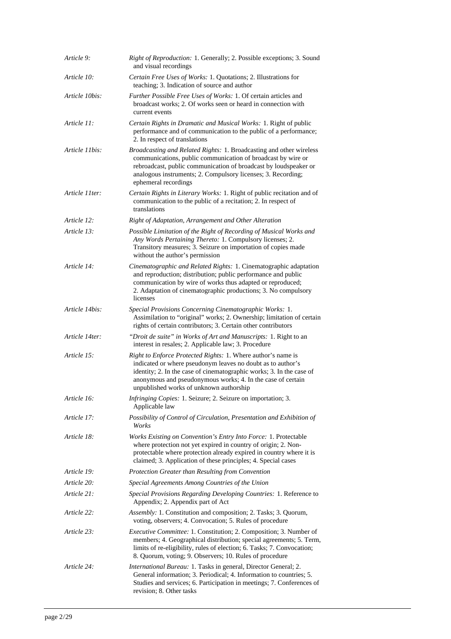| Article 9:      | Right of Reproduction: 1. Generally; 2. Possible exceptions; 3. Sound<br>and visual recordings                                                                                                                                                                                                                |
|-----------------|---------------------------------------------------------------------------------------------------------------------------------------------------------------------------------------------------------------------------------------------------------------------------------------------------------------|
| Article 10:     | Certain Free Uses of Works: 1. Quotations; 2. Illustrations for<br>teaching; 3. Indication of source and author                                                                                                                                                                                               |
| Article 10bis:  | Further Possible Free Uses of Works: 1. Of certain articles and<br>broadcast works; 2. Of works seen or heard in connection with<br>current events                                                                                                                                                            |
| Article 11:     | Certain Rights in Dramatic and Musical Works: 1. Right of public<br>performance and of communication to the public of a performance;<br>2. In respect of translations                                                                                                                                         |
| Article 11bis:  | Broadcasting and Related Rights: 1. Broadcasting and other wireless<br>communications, public communication of broadcast by wire or<br>rebroadcast, public communication of broadcast by loudspeaker or<br>analogous instruments; 2. Compulsory licenses; 3. Recording;<br>ephemeral recordings               |
| Article 11 ter: | Certain Rights in Literary Works: 1. Right of public recitation and of<br>communication to the public of a recitation; 2. In respect of<br>translations                                                                                                                                                       |
| Article 12:     | Right of Adaptation, Arrangement and Other Alteration                                                                                                                                                                                                                                                         |
| Article 13:     | Possible Limitation of the Right of Recording of Musical Works and<br>Any Words Pertaining Thereto: 1. Compulsory licenses; 2.<br>Transitory measures; 3. Seizure on importation of copies made<br>without the author's permission                                                                            |
| Article 14:     | Cinematographic and Related Rights: 1. Cinematographic adaptation<br>and reproduction; distribution; public performance and public<br>communication by wire of works thus adapted or reproduced;<br>2. Adaptation of cinematographic productions; 3. No compulsory<br>licenses                                |
| Article 14bis:  | Special Provisions Concerning Cinematographic Works: 1.<br>Assimilation to "original" works; 2. Ownership; limitation of certain<br>rights of certain contributors; 3. Certain other contributors                                                                                                             |
| Article 14ter:  | "Droit de suite" in Works of Art and Manuscripts: 1. Right to an<br>interest in resales; 2. Applicable law; 3. Procedure                                                                                                                                                                                      |
| Article 15:     | Right to Enforce Protected Rights: 1. Where author's name is<br>indicated or where pseudonym leaves no doubt as to author's<br>identity; 2. In the case of cinematographic works; 3. In the case of<br>anonymous and pseudonymous works; 4. In the case of certain<br>unpublished works of unknown authorship |
| Article 16:     | Infringing Copies: 1. Seizure; 2. Seizure on importation; 3.<br>Applicable law                                                                                                                                                                                                                                |
| Article 17:     | Possibility of Control of Circulation, Presentation and Exhibition of<br>Works                                                                                                                                                                                                                                |
| Article 18:     | Works Existing on Convention's Entry Into Force: 1. Protectable<br>where protection not yet expired in country of origin; 2. Non-<br>protectable where protection already expired in country where it is<br>claimed; 3. Application of these principles; 4. Special cases                                     |
| Article 19:     | Protection Greater than Resulting from Convention                                                                                                                                                                                                                                                             |
| Article 20:     | Special Agreements Among Countries of the Union                                                                                                                                                                                                                                                               |
| Article 21:     | <i>Special Provisions Regarding Developing Countries: 1. Reference to</i><br>Appendix; 2. Appendix part of Act                                                                                                                                                                                                |
| Article 22:     | Assembly: 1. Constitution and composition; 2. Tasks; 3. Quorum,<br>voting, observers; 4. Convocation; 5. Rules of procedure                                                                                                                                                                                   |
| Article 23:     | <i>Executive Committee: 1. Constitution; 2. Composition; 3. Number of</i><br>members; 4. Geographical distribution; special agreements; 5. Term,<br>limits of re-eligibility, rules of election; 6. Tasks; 7. Convocation;<br>8. Quorum, voting; 9. Observers; 10. Rules of procedure                         |
| Article 24:     | International Bureau: 1. Tasks in general, Director General; 2.<br>General information; 3. Periodical; 4. Information to countries; 5.<br>Studies and services; 6. Participation in meetings; 7. Conferences of<br>revision; 8. Other tasks                                                                   |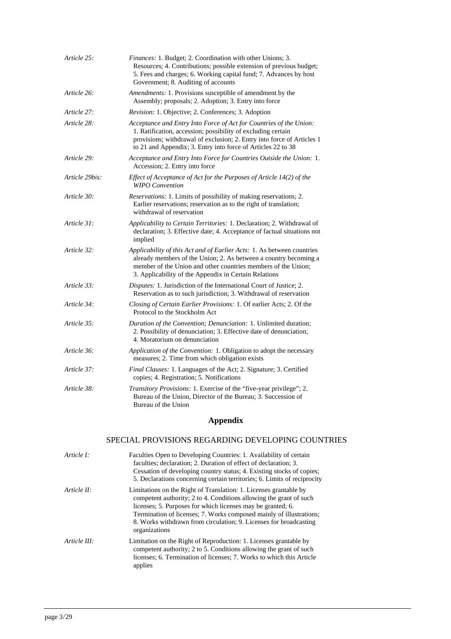| Article 25:    | Finances: 1. Budget; 2. Coordination with other Unions; 3.<br>Resources; 4. Contributions; possible extension of previous budget;<br>5. Fees and charges; 6. Working capital fund; 7. Advances by host<br>Government; 8. Auditing of accounts                                |  |
|----------------|------------------------------------------------------------------------------------------------------------------------------------------------------------------------------------------------------------------------------------------------------------------------------|--|
| Article 26:    | Amendments: 1. Provisions susceptible of amendment by the<br>Assembly; proposals; 2. Adoption; 3. Entry into force                                                                                                                                                           |  |
| Article 27:    | Revision: 1. Objective; 2. Conferences; 3. Adoption                                                                                                                                                                                                                          |  |
| Article 28:    | Acceptance and Entry Into Force of Act for Countries of the Union:<br>1. Ratification, accession; possibility of excluding certain<br>provisions; withdrawal of exclusion; 2. Entry into force of Articles 1<br>to 21 and Appendix; 3. Entry into force of Articles 22 to 38 |  |
| Article 29:    | Acceptance and Entry Into Force for Countries Outside the Union: 1.<br>Accession; 2. Entry into force                                                                                                                                                                        |  |
| Article 29bis: | Effect of Acceptance of Act for the Purposes of Article 14(2) of the<br><b>WIPO</b> Convention                                                                                                                                                                               |  |
| Article 30:    | Reservations: 1. Limits of possibility of making reservations; 2.<br>Earlier reservations; reservation as to the right of translation;<br>withdrawal of reservation                                                                                                          |  |
| Article 31:    | Applicability to Certain Territories: 1. Declaration; 2. Withdrawal of<br>declaration; 3. Effective date; 4. Acceptance of factual situations not<br>implied                                                                                                                 |  |
| Article 32:    | Applicability of this Act and of Earlier Acts: 1. As between countries<br>already members of the Union; 2. As between a country becoming a<br>member of the Union and other countries members of the Union;<br>3. Applicability of the Appendix in Certain Relations         |  |
| Article 33:    | <i>Disputes:</i> 1. Jurisdiction of the International Court of Justice; 2.<br>Reservation as to such jurisdiction; 3. Withdrawal of reservation                                                                                                                              |  |
| Article 34:    | Closing of Certain Earlier Provisions: 1. Of earlier Acts; 2. Of the<br>Protocol to the Stockholm Act                                                                                                                                                                        |  |
| Article 35:    | Duration of the Convention; Denunciation: 1. Unlimited duration;<br>2. Possibility of denunciation; 3. Effective date of denunciation;<br>4. Moratorium on denunciation                                                                                                      |  |
| Article 36:    | Application of the Convention: 1. Obligation to adopt the necessary<br>measures; 2. Time from which obligation exists                                                                                                                                                        |  |
| Article 37:    | Final Clauses: 1. Languages of the Act; 2. Signature; 3. Certified<br>copies; 4. Registration; 5. Notifications                                                                                                                                                              |  |
| Article 38:    | <i>Transitory Provisions: 1.</i> Exercise of the "five-year privilege"; 2.<br>Bureau of the Union, Director of the Bureau; 3. Succession of<br>Bureau of the Union                                                                                                           |  |

## **Appendix**

## SPECIAL PROVISIONS REGARDING DEVELOPING COUNTRIES

| Article I:   | Faculties Open to Developing Countries: 1. Availability of certain<br>faculties; declaration; 2. Duration of effect of declaration; 3.<br>Cessation of developing country status; 4. Existing stocks of copies;<br>5. Declarations concerning certain territories; 6. Limits of reciprocity                                                                         |
|--------------|---------------------------------------------------------------------------------------------------------------------------------------------------------------------------------------------------------------------------------------------------------------------------------------------------------------------------------------------------------------------|
| Article II:  | Limitations on the Right of Translation: 1. Licenses grantable by<br>competent authority; 2 to 4. Conditions allowing the grant of such<br>licenses; 5. Purposes for which licenses may be granted; 6.<br>Termination of licenses; 7. Works composed mainly of illustrations;<br>8. Works withdrawn from circulation; 9. Licenses for broadcasting<br>organizations |
| Article III: | Limitation on the Right of Reproduction: 1. Licenses grantable by<br>competent authority; 2 to 5. Conditions allowing the grant of such<br>licenses; 6. Termination of licenses; 7. Works to which this Article<br>applies                                                                                                                                          |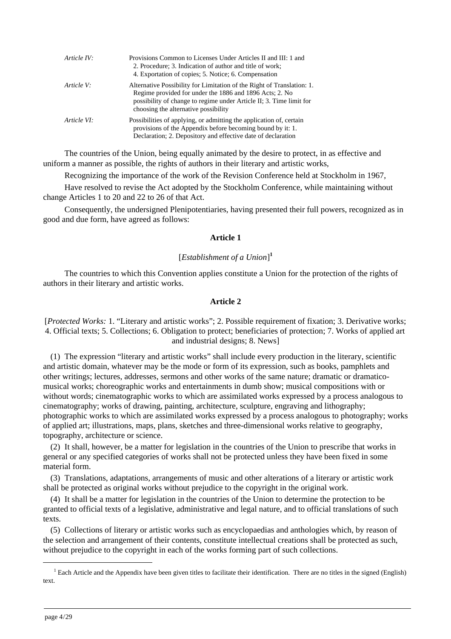| Article IV: | Provisions Common to Licenses Under Articles II and III: 1 and<br>2. Procedure: 3. Indication of author and title of work;<br>4. Exportation of copies; 5. Notice; 6. Compensation                                                               |
|-------------|--------------------------------------------------------------------------------------------------------------------------------------------------------------------------------------------------------------------------------------------------|
| Article V:  | Alternative Possibility for Limitation of the Right of Translation: 1.<br>Regime provided for under the 1886 and 1896 Acts; 2. No<br>possibility of change to regime under Article II; 3. Time limit for<br>choosing the alternative possibility |
| Article VI: | Possibilities of applying, or admitting the application of, certain<br>provisions of the Appendix before becoming bound by it: 1.<br>Declaration; 2. Depository and effective date of declaration                                                |

The countries of the Union, being equally animated by the desire to protect, in as effective and uniform a manner as possible, the rights of authors in their literary and artistic works,

Recognizing the importance of the work of the Revision Conference held at Stockholm in 1967,

Have resolved to revise the Act adopted by the Stockholm Conference, while maintaining without change Articles 1 to 20 and 22 to 26 of that Act.

Consequently, the undersigned Plenipotentiaries, having presented their full powers, recognized as in good and due form, have agreed as follows:

#### **Article 1**

## [*Establishment of a Union*] **1**

The countries to which this Convention applies constitute a Union for the protection of the rights of authors in their literary and artistic works.

#### **Article 2**

[*Protected Works:* 1. "Literary and artistic works"; 2. Possible requirement of fixation; 3. Derivative works; 4. Official texts; 5. Collections; 6. Obligation to protect; beneficiaries of protection; 7. Works of applied art and industrial designs; 8. News]

(1) The expression "literary and artistic works" shall include every production in the literary, scientific and artistic domain, whatever may be the mode or form of its expression, such as books, pamphlets and other writings; lectures, addresses, sermons and other works of the same nature; dramatic or dramaticomusical works; choreographic works and entertainments in dumb show; musical compositions with or without words; cinematographic works to which are assimilated works expressed by a process analogous to cinematography; works of drawing, painting, architecture, sculpture, engraving and lithography; photographic works to which are assimilated works expressed by a process analogous to photography; works of applied art; illustrations, maps, plans, sketches and three-dimensional works relative to geography, topography, architecture or science.

(2) It shall, however, be a matter for legislation in the countries of the Union to prescribe that works in general or any specified categories of works shall not be protected unless they have been fixed in some material form.

(3) Translations, adaptations, arrangements of music and other alterations of a literary or artistic work shall be protected as original works without prejudice to the copyright in the original work.

(4) It shall be a matter for legislation in the countries of the Union to determine the protection to be granted to official texts of a legislative, administrative and legal nature, and to official translations of such texts.

(5) Collections of literary or artistic works such as encyclopaedias and anthologies which, by reason of the selection and arrangement of their contents, constitute intellectual creations shall be protected as such, without prejudice to the copyright in each of the works forming part of such collections.

 $\frac{1}{1}$ <sup>1</sup> Each Article and the Appendix have been given titles to facilitate their identification. There are no titles in the signed (English) text.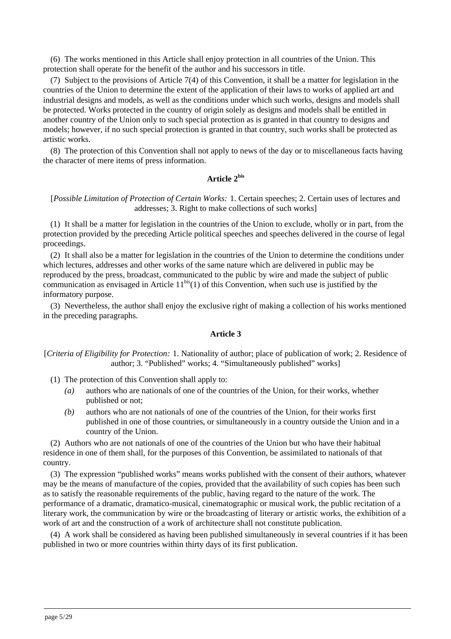(6) The works mentioned in this Article shall enjoy protection in all countries of the Union. This protection shall operate for the benefit of the author and his successors in title.

(7) Subject to the provisions of Article 7(4) of this Convention, it shall be a matter for legislation in the countries of the Union to determine the extent of the application of their laws to works of applied art and industrial designs and models, as well as the conditions under which such works, designs and models shall be protected. Works protected in the country of origin solely as designs and models shall be entitled in another country of the Union only to such special protection as is granted in that country to designs and models; however, if no such special protection is granted in that country, such works shall be protected as artistic works.

(8) The protection of this Convention shall not apply to news of the day or to miscellaneous facts having the character of mere items of press information.

## **Article 2bis**

## [*Possible Limitation of Protection of Certain Works:* 1. Certain speeches; 2. Certain uses of lectures and addresses; 3. Right to make collections of such works]

(1) It shall be a matter for legislation in the countries of the Union to exclude, wholly or in part, from the protection provided by the preceding Article political speeches and speeches delivered in the course of legal proceedings.

(2) It shall also be a matter for legislation in the countries of the Union to determine the conditions under which lectures, addresses and other works of the same nature which are delivered in public may be reproduced by the press, broadcast, communicated to the public by wire and made the subject of public communication as envisaged in Article  $11<sup>bis</sup>(1)$  of this Convention, when such use is justified by the informatory purpose.

(3) Nevertheless, the author shall enjoy the exclusive right of making a collection of his works mentioned in the preceding paragraphs.

#### **Article 3**

## [*Criteria of Eligibility for Protection:* 1. Nationality of author; place of publication of work; 2. Residence of author; 3. "Published" works; 4. "Simultaneously published" works]

- (1) The protection of this Convention shall apply to:
	- *(a)* authors who are nationals of one of the countries of the Union, for their works, whether published or not;
	- *(b)* authors who are not nationals of one of the countries of the Union, for their works first published in one of those countries, or simultaneously in a country outside the Union and in a country of the Union.

(2) Authors who are not nationals of one of the countries of the Union but who have their habitual residence in one of them shall, for the purposes of this Convention, be assimilated to nationals of that country.

(3) The expression "published works" means works published with the consent of their authors, whatever may be the means of manufacture of the copies, provided that the availability of such copies has been such as to satisfy the reasonable requirements of the public, having regard to the nature of the work. The performance of a dramatic, dramatico-musical, cinematographic or musical work, the public recitation of a literary work, the communication by wire or the broadcasting of literary or artistic works, the exhibition of a work of art and the construction of a work of architecture shall not constitute publication.

(4) A work shall be considered as having been published simultaneously in several countries if it has been published in two or more countries within thirty days of its first publication.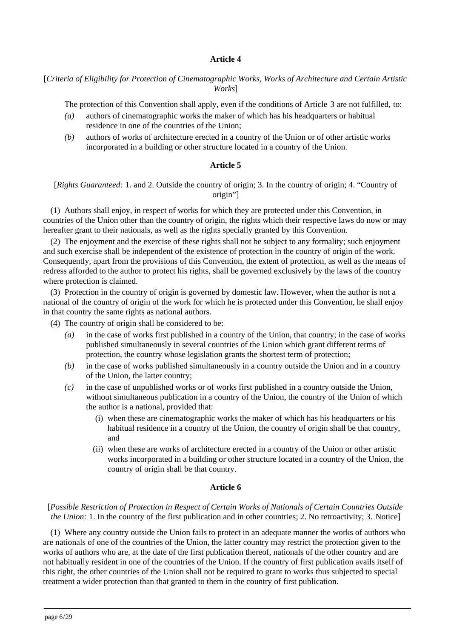## **Article 4**

[*Criteria of Eligibility for Protection of Cinematographic Works, Works of Architecture and Certain Artistic Works*]

The protection of this Convention shall apply, even if the conditions of Article 3 are not fulfilled, to:

- *(a)* authors of cinematographic works the maker of which has his headquarters or habitual residence in one of the countries of the Union;
- *(b)* authors of works of architecture erected in a country of the Union or of other artistic works incorporated in a building or other structure located in a country of the Union.

### **Article 5**

[*Rights Guaranteed:* 1. and 2. Outside the country of origin; 3. In the country of origin; 4. "Country of origin"]

(1) Authors shall enjoy, in respect of works for which they are protected under this Convention, in countries of the Union other than the country of origin, the rights which their respective laws do now or may hereafter grant to their nationals, as well as the rights specially granted by this Convention.

(2) The enjoyment and the exercise of these rights shall not be subject to any formality; such enjoyment and such exercise shall be independent of the existence of protection in the country of origin of the work. Consequently, apart from the provisions of this Convention, the extent of protection, as well as the means of redress afforded to the author to protect his rights, shall be governed exclusively by the laws of the country where protection is claimed.

(3) Protection in the country of origin is governed by domestic law. However, when the author is not a national of the country of origin of the work for which he is protected under this Convention, he shall enjoy in that country the same rights as national authors.

(4) The country of origin shall be considered to be:

- *(a)* in the case of works first published in a country of the Union, that country; in the case of works published simultaneously in several countries of the Union which grant different terms of protection, the country whose legislation grants the shortest term of protection;
- *(b)* in the case of works published simultaneously in a country outside the Union and in a country of the Union, the latter country;
- *(c)* in the case of unpublished works or of works first published in a country outside the Union, without simultaneous publication in a country of the Union, the country of the Union of which the author is a national, provided that:
	- (i) when these are cinematographic works the maker of which has his headquarters or his habitual residence in a country of the Union, the country of origin shall be that country, and
	- (ii) when these are works of architecture erected in a country of the Union or other artistic works incorporated in a building or other structure located in a country of the Union, the country of origin shall be that country.

### **Article 6**

[*Possible Restriction of Protection in Respect of Certain Works of Nationals of Certain Countries Outside the Union:* 1. In the country of the first publication and in other countries; 2. No retroactivity; 3. Notice]

(1) Where any country outside the Union fails to protect in an adequate manner the works of authors who are nationals of one of the countries of the Union, the latter country may restrict the protection given to the works of authors who are, at the date of the first publication thereof, nationals of the other country and are not habitually resident in one of the countries of the Union. If the country of first publication avails itself of this right, the other countries of the Union shall not be required to grant to works thus subjected to special treatment a wider protection than that granted to them in the country of first publication.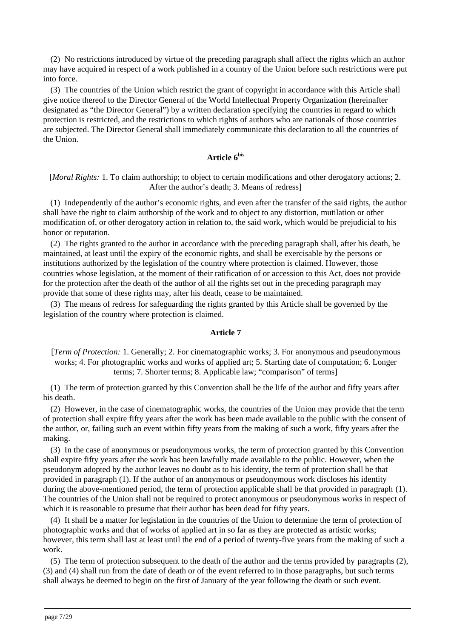(2) No restrictions introduced by virtue of the preceding paragraph shall affect the rights which an author may have acquired in respect of a work published in a country of the Union before such restrictions were put into force.

(3) The countries of the Union which restrict the grant of copyright in accordance with this Article shall give notice thereof to the Director General of the World Intellectual Property Organization (hereinafter designated as "the Director General") by a written declaration specifying the countries in regard to which protection is restricted, and the restrictions to which rights of authors who are nationals of those countries are subjected. The Director General shall immediately communicate this declaration to all the countries of the Union.

## **Article 6bis**

[*Moral Rights:* 1. To claim authorship; to object to certain modifications and other derogatory actions; 2. After the author's death; 3. Means of redress]

(1) Independently of the author's economic rights, and even after the transfer of the said rights, the author shall have the right to claim authorship of the work and to object to any distortion, mutilation or other modification of, or other derogatory action in relation to, the said work, which would be prejudicial to his honor or reputation.

(2) The rights granted to the author in accordance with the preceding paragraph shall, after his death, be maintained, at least until the expiry of the economic rights, and shall be exercisable by the persons or institutions authorized by the legislation of the country where protection is claimed. However, those countries whose legislation, at the moment of their ratification of or accession to this Act, does not provide for the protection after the death of the author of all the rights set out in the preceding paragraph may provide that some of these rights may, after his death, cease to be maintained.

(3) The means of redress for safeguarding the rights granted by this Article shall be governed by the legislation of the country where protection is claimed.

### **Article 7**

[*Term of Protection:* 1. Generally; 2. For cinematographic works; 3. For anonymous and pseudonymous works; 4. For photographic works and works of applied art; 5. Starting date of computation; 6. Longer terms; 7. Shorter terms; 8. Applicable law; "comparison" of terms]

(1) The term of protection granted by this Convention shall be the life of the author and fifty years after his death.

(2) However, in the case of cinematographic works, the countries of the Union may provide that the term of protection shall expire fifty years after the work has been made available to the public with the consent of the author, or, failing such an event within fifty years from the making of such a work, fifty years after the making.

(3) In the case of anonymous or pseudonymous works, the term of protection granted by this Convention shall expire fifty years after the work has been lawfully made available to the public. However, when the pseudonym adopted by the author leaves no doubt as to his identity, the term of protection shall be that provided in paragraph (1). If the author of an anonymous or pseudonymous work discloses his identity during the above-mentioned period, the term of protection applicable shall be that provided in paragraph (1). The countries of the Union shall not be required to protect anonymous or pseudonymous works in respect of which it is reasonable to presume that their author has been dead for fifty years.

(4) It shall be a matter for legislation in the countries of the Union to determine the term of protection of photographic works and that of works of applied art in so far as they are protected as artistic works; however, this term shall last at least until the end of a period of twenty-five years from the making of such a work.

(5) The term of protection subsequent to the death of the author and the terms provided by paragraphs (2), (3) and (4) shall run from the date of death or of the event referred to in those paragraphs, but such terms shall always be deemed to begin on the first of January of the year following the death or such event.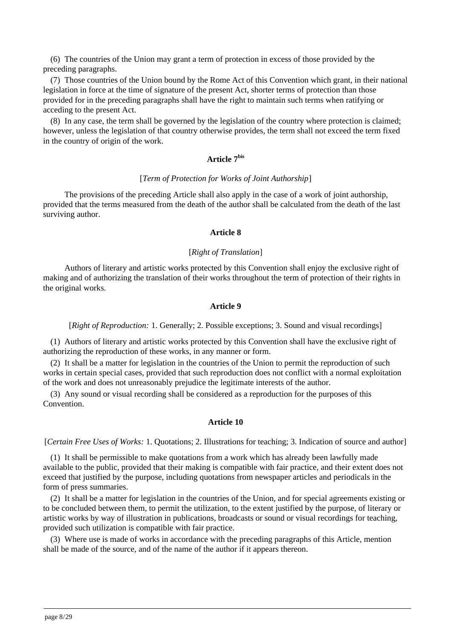(6) The countries of the Union may grant a term of protection in excess of those provided by the preceding paragraphs.

(7) Those countries of the Union bound by the Rome Act of this Convention which grant, in their national legislation in force at the time of signature of the present Act, shorter terms of protection than those provided for in the preceding paragraphs shall have the right to maintain such terms when ratifying or acceding to the present Act.

(8) In any case, the term shall be governed by the legislation of the country where protection is claimed; however, unless the legislation of that country otherwise provides, the term shall not exceed the term fixed in the country of origin of the work.

## **Article 7bis**

#### [*Term of Protection for Works of Joint Authorship*]

The provisions of the preceding Article shall also apply in the case of a work of joint authorship, provided that the terms measured from the death of the author shall be calculated from the death of the last surviving author.

#### **Article 8**

#### [*Right of Translation*]

Authors of literary and artistic works protected by this Convention shall enjoy the exclusive right of making and of authorizing the translation of their works throughout the term of protection of their rights in the original works.

#### **Article 9**

[*Right of Reproduction:* 1. Generally; 2. Possible exceptions; 3. Sound and visual recordings]

(1) Authors of literary and artistic works protected by this Convention shall have the exclusive right of authorizing the reproduction of these works, in any manner or form.

(2) It shall be a matter for legislation in the countries of the Union to permit the reproduction of such works in certain special cases, provided that such reproduction does not conflict with a normal exploitation of the work and does not unreasonably prejudice the legitimate interests of the author.

(3) Any sound or visual recording shall be considered as a reproduction for the purposes of this **Convention** 

#### **Article 10**

[*Certain Free Uses of Works:* 1. Quotations; 2. Illustrations for teaching; 3. Indication of source and author]

(1) It shall be permissible to make quotations from a work which has already been lawfully made available to the public, provided that their making is compatible with fair practice, and their extent does not exceed that justified by the purpose, including quotations from newspaper articles and periodicals in the form of press summaries.

(2) It shall be a matter for legislation in the countries of the Union, and for special agreements existing or to be concluded between them, to permit the utilization, to the extent justified by the purpose, of literary or artistic works by way of illustration in publications, broadcasts or sound or visual recordings for teaching, provided such utilization is compatible with fair practice.

(3) Where use is made of works in accordance with the preceding paragraphs of this Article, mention shall be made of the source, and of the name of the author if it appears thereon.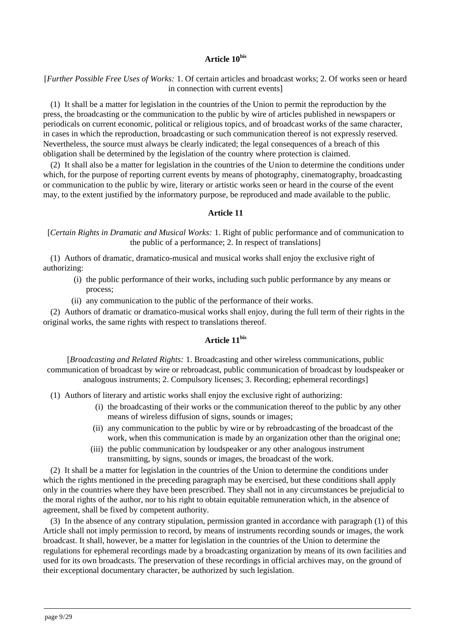## **Article 10bis**

[*Further Possible Free Uses of Works:* 1. Of certain articles and broadcast works; 2. Of works seen or heard in connection with current events]

(1) It shall be a matter for legislation in the countries of the Union to permit the reproduction by the press, the broadcasting or the communication to the public by wire of articles published in newspapers or periodicals on current economic, political or religious topics, and of broadcast works of the same character, in cases in which the reproduction, broadcasting or such communication thereof is not expressly reserved. Nevertheless, the source must always be clearly indicated; the legal consequences of a breach of this obligation shall be determined by the legislation of the country where protection is claimed.

(2) It shall also be a matter for legislation in the countries of the Union to determine the conditions under which, for the purpose of reporting current events by means of photography, cinematography, broadcasting or communication to the public by wire, literary or artistic works seen or heard in the course of the event may, to the extent justified by the informatory purpose, be reproduced and made available to the public.

#### **Article 11**

[*Certain Rights in Dramatic and Musical Works:* 1. Right of public performance and of communication to the public of a performance; 2. In respect of translations]

(1) Authors of dramatic, dramatico-musical and musical works shall enjoy the exclusive right of authorizing:

- (i) the public performance of their works, including such public performance by any means or process;
- (ii) any communication to the public of the performance of their works.

(2) Authors of dramatic or dramatico-musical works shall enjoy, during the full term of their rights in the original works, the same rights with respect to translations thereof.

## **Article 11bis**

[*Broadcasting and Related Rights:* 1. Broadcasting and other wireless communications, public communication of broadcast by wire or rebroadcast, public communication of broadcast by loudspeaker or analogous instruments; 2. Compulsory licenses; 3. Recording; ephemeral recordings]

(1) Authors of literary and artistic works shall enjoy the exclusive right of authorizing:

- (i) the broadcasting of their works or the communication thereof to the public by any other means of wireless diffusion of signs, sounds or images;
- (ii) any communication to the public by wire or by rebroadcasting of the broadcast of the work, when this communication is made by an organization other than the original one;
- (iii) the public communication by loudspeaker or any other analogous instrument transmitting, by signs, sounds or images, the broadcast of the work.

(2) It shall be a matter for legislation in the countries of the Union to determine the conditions under which the rights mentioned in the preceding paragraph may be exercised, but these conditions shall apply only in the countries where they have been prescribed. They shall not in any circumstances be prejudicial to the moral rights of the author, nor to his right to obtain equitable remuneration which, in the absence of agreement, shall be fixed by competent authority.

(3) In the absence of any contrary stipulation, permission granted in accordance with paragraph (1) of this Article shall not imply permission to record, by means of instruments recording sounds or images, the work broadcast. It shall, however, be a matter for legislation in the countries of the Union to determine the regulations for ephemeral recordings made by a broadcasting organization by means of its own facilities and used for its own broadcasts. The preservation of these recordings in official archives may, on the ground of their exceptional documentary character, be authorized by such legislation.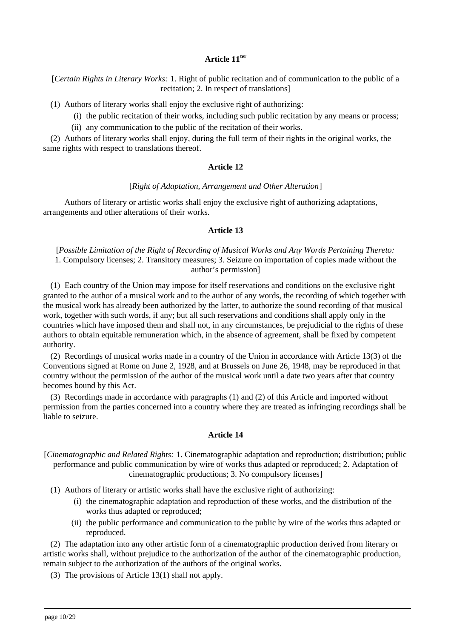## **Article 11ter**

[*Certain Rights in Literary Works:* 1. Right of public recitation and of communication to the public of a recitation; 2. In respect of translations]

(1) Authors of literary works shall enjoy the exclusive right of authorizing:

- (i) the public recitation of their works, including such public recitation by any means or process;
- (ii) any communication to the public of the recitation of their works.

(2) Authors of literary works shall enjoy, during the full term of their rights in the original works, the same rights with respect to translations thereof.

## **Article 12**

#### [*Right of Adaptation, Arrangement and Other Alteration*]

Authors of literary or artistic works shall enjoy the exclusive right of authorizing adaptations, arrangements and other alterations of their works.

#### **Article 13**

[*Possible Limitation of the Right of Recording of Musical Works and Any Words Pertaining Thereto:* 1. Compulsory licenses; 2. Transitory measures; 3. Seizure on importation of copies made without the author's permission]

(1) Each country of the Union may impose for itself reservations and conditions on the exclusive right granted to the author of a musical work and to the author of any words, the recording of which together with the musical work has already been authorized by the latter, to authorize the sound recording of that musical work, together with such words, if any; but all such reservations and conditions shall apply only in the countries which have imposed them and shall not, in any circumstances, be prejudicial to the rights of these authors to obtain equitable remuneration which, in the absence of agreement, shall be fixed by competent authority.

(2) Recordings of musical works made in a country of the Union in accordance with Article 13(3) of the Conventions signed at Rome on June 2, 1928, and at Brussels on June 26, 1948, may be reproduced in that country without the permission of the author of the musical work until a date two years after that country becomes bound by this Act.

(3) Recordings made in accordance with paragraphs (1) and (2) of this Article and imported without permission from the parties concerned into a country where they are treated as infringing recordings shall be liable to seizure.

#### **Article 14**

[*Cinematographic and Related Rights:* 1. Cinematographic adaptation and reproduction; distribution; public performance and public communication by wire of works thus adapted or reproduced; 2. Adaptation of cinematographic productions; 3. No compulsory licenses]

- (1) Authors of literary or artistic works shall have the exclusive right of authorizing:
	- (i) the cinematographic adaptation and reproduction of these works, and the distribution of the works thus adapted or reproduced;
	- (ii) the public performance and communication to the public by wire of the works thus adapted or reproduced.

(2) The adaptation into any other artistic form of a cinematographic production derived from literary or artistic works shall, without prejudice to the authorization of the author of the cinematographic production, remain subject to the authorization of the authors of the original works.

(3) The provisions of Article 13(1) shall not apply.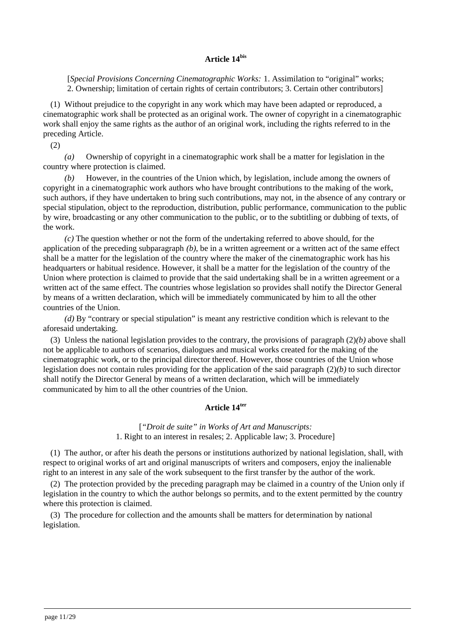## **Article 14bis**

[*Special Provisions Concerning Cinematographic Works:* 1. Assimilation to "original" works; 2. Ownership; limitation of certain rights of certain contributors; 3. Certain other contributors]

(1) Without prejudice to the copyright in any work which may have been adapted or reproduced, a cinematographic work shall be protected as an original work. The owner of copyright in a cinematographic work shall enjoy the same rights as the author of an original work, including the rights referred to in the preceding Article.

(2)

*(a)* Ownership of copyright in a cinematographic work shall be a matter for legislation in the country where protection is claimed.

*(b)* However, in the countries of the Union which, by legislation, include among the owners of copyright in a cinematographic work authors who have brought contributions to the making of the work, such authors, if they have undertaken to bring such contributions, may not, in the absence of any contrary or special stipulation, object to the reproduction, distribution, public performance, communication to the public by wire, broadcasting or any other communication to the public, or to the subtitling or dubbing of texts, of the work.

*(c)* The question whether or not the form of the undertaking referred to above should, for the application of the preceding subparagraph *(b)*, be in a written agreement or a written act of the same effect shall be a matter for the legislation of the country where the maker of the cinematographic work has his headquarters or habitual residence. However, it shall be a matter for the legislation of the country of the Union where protection is claimed to provide that the said undertaking shall be in a written agreement or a written act of the same effect. The countries whose legislation so provides shall notify the Director General by means of a written declaration, which will be immediately communicated by him to all the other countries of the Union.

*(d)* By "contrary or special stipulation" is meant any restrictive condition which is relevant to the aforesaid undertaking.

(3) Unless the national legislation provides to the contrary, the provisions of paragraph (2)*(b)* above shall not be applicable to authors of scenarios, dialogues and musical works created for the making of the cinematographic work, or to the principal director thereof. However, those countries of the Union whose legislation does not contain rules providing for the application of the said paragraph (2)*(b)* to such director shall notify the Director General by means of a written declaration, which will be immediately communicated by him to all the other countries of the Union.

## **Article 14ter**

## [*"Droit de suite" in Works of Art and Manuscripts:* 1. Right to an interest in resales; 2. Applicable law; 3. Procedure]

(1) The author, or after his death the persons or institutions authorized by national legislation, shall, with respect to original works of art and original manuscripts of writers and composers, enjoy the inalienable right to an interest in any sale of the work subsequent to the first transfer by the author of the work.

(2) The protection provided by the preceding paragraph may be claimed in a country of the Union only if legislation in the country to which the author belongs so permits, and to the extent permitted by the country where this protection is claimed.

(3) The procedure for collection and the amounts shall be matters for determination by national legislation.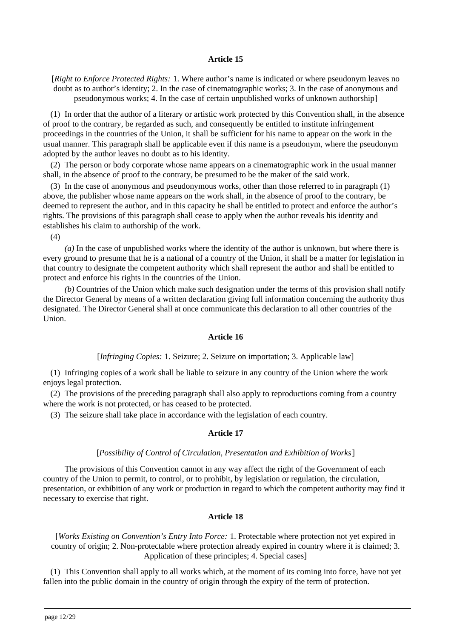#### **Article 15**

[*Right to Enforce Protected Rights:* 1. Where author's name is indicated or where pseudonym leaves no doubt as to author's identity; 2. In the case of cinematographic works; 3. In the case of anonymous and pseudonymous works; 4. In the case of certain unpublished works of unknown authorship]

(1) In order that the author of a literary or artistic work protected by this Convention shall, in the absence of proof to the contrary, be regarded as such, and consequently be entitled to institute infringement proceedings in the countries of the Union, it shall be sufficient for his name to appear on the work in the usual manner. This paragraph shall be applicable even if this name is a pseudonym, where the pseudonym adopted by the author leaves no doubt as to his identity.

(2) The person or body corporate whose name appears on a cinematographic work in the usual manner shall, in the absence of proof to the contrary, be presumed to be the maker of the said work.

(3) In the case of anonymous and pseudonymous works, other than those referred to in paragraph (1) above, the publisher whose name appears on the work shall, in the absence of proof to the contrary, be deemed to represent the author, and in this capacity he shall be entitled to protect and enforce the author's rights. The provisions of this paragraph shall cease to apply when the author reveals his identity and establishes his claim to authorship of the work.

(4)

*(a)* In the case of unpublished works where the identity of the author is unknown, but where there is every ground to presume that he is a national of a country of the Union, it shall be a matter for legislation in that country to designate the competent authority which shall represent the author and shall be entitled to protect and enforce his rights in the countries of the Union.

*(b)* Countries of the Union which make such designation under the terms of this provision shall notify the Director General by means of a written declaration giving full information concerning the authority thus designated. The Director General shall at once communicate this declaration to all other countries of the Union.

#### **Article 16**

[*Infringing Copies:* 1. Seizure; 2. Seizure on importation; 3. Applicable law]

(1) Infringing copies of a work shall be liable to seizure in any country of the Union where the work enjoys legal protection.

(2) The provisions of the preceding paragraph shall also apply to reproductions coming from a country where the work is not protected, or has ceased to be protected.

(3) The seizure shall take place in accordance with the legislation of each country.

### **Article 17**

#### [*Possibility of Control of Circulation, Presentation and Exhibition of Works*]

The provisions of this Convention cannot in any way affect the right of the Government of each country of the Union to permit, to control, or to prohibit, by legislation or regulation, the circulation, presentation, or exhibition of any work or production in regard to which the competent authority may find it necessary to exercise that right.

### **Article 18**

[*Works Existing on Convention's Entry Into Force:* 1. Protectable where protection not yet expired in country of origin; 2. Non-protectable where protection already expired in country where it is claimed; 3. Application of these principles; 4. Special cases]

(1) This Convention shall apply to all works which, at the moment of its coming into force, have not yet fallen into the public domain in the country of origin through the expiry of the term of protection.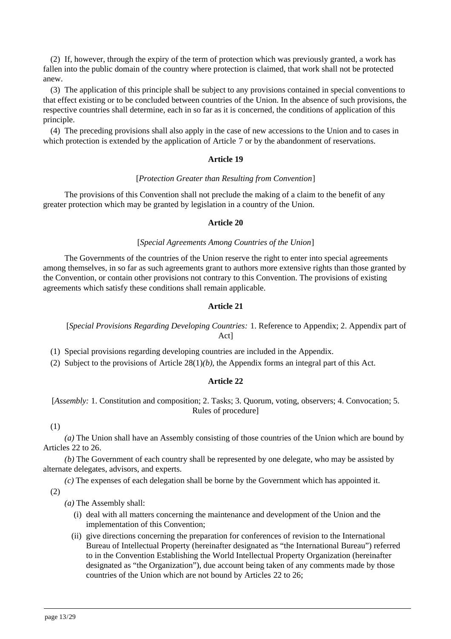(2) If, however, through the expiry of the term of protection which was previously granted, a work has fallen into the public domain of the country where protection is claimed, that work shall not be protected anew.

(3) The application of this principle shall be subject to any provisions contained in special conventions to that effect existing or to be concluded between countries of the Union. In the absence of such provisions, the respective countries shall determine, each in so far as it is concerned, the conditions of application of this principle.

(4) The preceding provisions shall also apply in the case of new accessions to the Union and to cases in which protection is extended by the application of Article 7 or by the abandonment of reservations.

#### **Article 19**

#### [*Protection Greater than Resulting from Convention*]

The provisions of this Convention shall not preclude the making of a claim to the benefit of any greater protection which may be granted by legislation in a country of the Union.

#### **Article 20**

#### [*Special Agreements Among Countries of the Union*]

The Governments of the countries of the Union reserve the right to enter into special agreements among themselves, in so far as such agreements grant to authors more extensive rights than those granted by the Convention, or contain other provisions not contrary to this Convention. The provisions of existing agreements which satisfy these conditions shall remain applicable.

#### **Article 21**

[*Special Provisions Regarding Developing Countries:* 1. Reference to Appendix; 2. Appendix part of Act]

(1) Special provisions regarding developing countries are included in the Appendix.

(2) Subject to the provisions of Article 28(1)*(b)*, the Appendix forms an integral part of this Act.

#### **Article 22**

[*Assembly:* 1. Constitution and composition; 2. Tasks; 3. Quorum, voting, observers; 4. Convocation; 5. Rules of procedure]

(1)

*(a)* The Union shall have an Assembly consisting of those countries of the Union which are bound by Articles 22 to 26.

*(b)* The Government of each country shall be represented by one delegate, who may be assisted by alternate delegates, advisors, and experts.

*(c)* The expenses of each delegation shall be borne by the Government which has appointed it. (2)

*(a)* The Assembly shall:

- (i) deal with all matters concerning the maintenance and development of the Union and the implementation of this Convention;
- (ii) give directions concerning the preparation for conferences of revision to the International Bureau of Intellectual Property (hereinafter designated as "the International Bureau") referred to in the Convention Establishing the World Intellectual Property Organization (hereinafter designated as "the Organization"), due account being taken of any comments made by those countries of the Union which are not bound by Articles 22 to 26;

page 13/29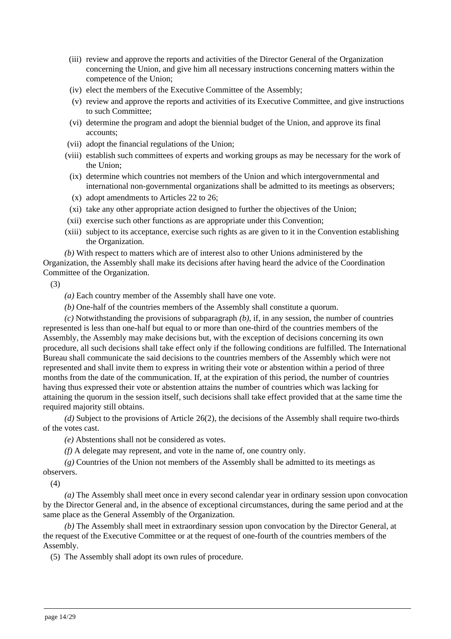- (iii) review and approve the reports and activities of the Director General of the Organization concerning the Union, and give him all necessary instructions concerning matters within the competence of the Union;
- (iv) elect the members of the Executive Committee of the Assembly;
- (v) review and approve the reports and activities of its Executive Committee, and give instructions to such Committee;
- (vi) determine the program and adopt the biennial budget of the Union, and approve its final accounts;
- (vii) adopt the financial regulations of the Union;
- (viii) establish such committees of experts and working groups as may be necessary for the work of the Union;
- (ix) determine which countries not members of the Union and which intergovernmental and international non-governmental organizations shall be admitted to its meetings as observers;
- (x) adopt amendments to Articles 22 to 26;
- (xi) take any other appropriate action designed to further the objectives of the Union;
- (xii) exercise such other functions as are appropriate under this Convention;
- (xiii) subject to its acceptance, exercise such rights as are given to it in the Convention establishing the Organization.

*(b)* With respect to matters which are of interest also to other Unions administered by the Organization, the Assembly shall make its decisions after having heard the advice of the Coordination Committee of the Organization.

(3)

- *(a)* Each country member of the Assembly shall have one vote.
- *(b)* One-half of the countries members of the Assembly shall constitute a quorum.

*(c)* Notwithstanding the provisions of subparagraph *(b)*, if, in any session, the number of countries represented is less than one-half but equal to or more than one-third of the countries members of the Assembly, the Assembly may make decisions but, with the exception of decisions concerning its own procedure, all such decisions shall take effect only if the following conditions are fulfilled. The International Bureau shall communicate the said decisions to the countries members of the Assembly which were not represented and shall invite them to express in writing their vote or abstention within a period of three months from the date of the communication. If, at the expiration of this period, the number of countries having thus expressed their vote or abstention attains the number of countries which was lacking for attaining the quorum in the session itself, such decisions shall take effect provided that at the same time the required majority still obtains.

*(d)* Subject to the provisions of Article 26(2), the decisions of the Assembly shall require two-thirds of the votes cast.

*(e)* Abstentions shall not be considered as votes.

*(f)* A delegate may represent, and vote in the name of, one country only.

*(g)* Countries of the Union not members of the Assembly shall be admitted to its meetings as observers.

(4)

*(a)* The Assembly shall meet once in every second calendar year in ordinary session upon convocation by the Director General and, in the absence of exceptional circumstances, during the same period and at the same place as the General Assembly of the Organization.

*(b)* The Assembly shall meet in extraordinary session upon convocation by the Director General, at the request of the Executive Committee or at the request of one-fourth of the countries members of the Assembly.

(5) The Assembly shall adopt its own rules of procedure.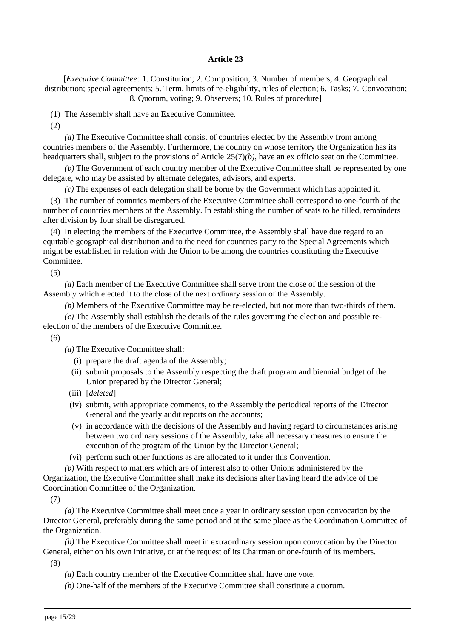#### **Article 23**

[*Executive Committee:* 1. Constitution; 2. Composition; 3. Number of members; 4. Geographical distribution; special agreements; 5. Term, limits of re-eligibility, rules of election; 6. Tasks; 7. Convocation; 8. Quorum, voting; 9. Observers; 10. Rules of procedure]

(1) The Assembly shall have an Executive Committee.

(2)

*(a)* The Executive Committee shall consist of countries elected by the Assembly from among countries members of the Assembly. Furthermore, the country on whose territory the Organization has its headquarters shall, subject to the provisions of Article 25(7)*(b)*, have an ex officio seat on the Committee.

*(b)* The Government of each country member of the Executive Committee shall be represented by one delegate, who may be assisted by alternate delegates, advisors, and experts.

*(c)* The expenses of each delegation shall be borne by the Government which has appointed it.

(3) The number of countries members of the Executive Committee shall correspond to one-fourth of the number of countries members of the Assembly. In establishing the number of seats to be filled, remainders after division by four shall be disregarded.

(4) In electing the members of the Executive Committee, the Assembly shall have due regard to an equitable geographical distribution and to the need for countries party to the Special Agreements which might be established in relation with the Union to be among the countries constituting the Executive Committee.

(5)

*(a)* Each member of the Executive Committee shall serve from the close of the session of the Assembly which elected it to the close of the next ordinary session of the Assembly.

*(b)* Members of the Executive Committee may be re-elected, but not more than two-thirds of them.

*(c)* The Assembly shall establish the details of the rules governing the election and possible reelection of the members of the Executive Committee.

(6)

*(a)* The Executive Committee shall:

- (i) prepare the draft agenda of the Assembly;
- (ii) submit proposals to the Assembly respecting the draft program and biennial budget of the Union prepared by the Director General;
- (iii) [*deleted*]
- (iv) submit, with appropriate comments, to the Assembly the periodical reports of the Director General and the yearly audit reports on the accounts;
- (v) in accordance with the decisions of the Assembly and having regard to circumstances arising between two ordinary sessions of the Assembly, take all necessary measures to ensure the execution of the program of the Union by the Director General;
- (vi) perform such other functions as are allocated to it under this Convention.

*(b)* With respect to matters which are of interest also to other Unions administered by the Organization, the Executive Committee shall make its decisions after having heard the advice of the Coordination Committee of the Organization.

(7)

*(a)* The Executive Committee shall meet once a year in ordinary session upon convocation by the Director General, preferably during the same period and at the same place as the Coordination Committee of the Organization.

*(b)* The Executive Committee shall meet in extraordinary session upon convocation by the Director General, either on his own initiative, or at the request of its Chairman or one-fourth of its members.

(8)

- *(a)* Each country member of the Executive Committee shall have one vote.
- *(b)* One-half of the members of the Executive Committee shall constitute a quorum.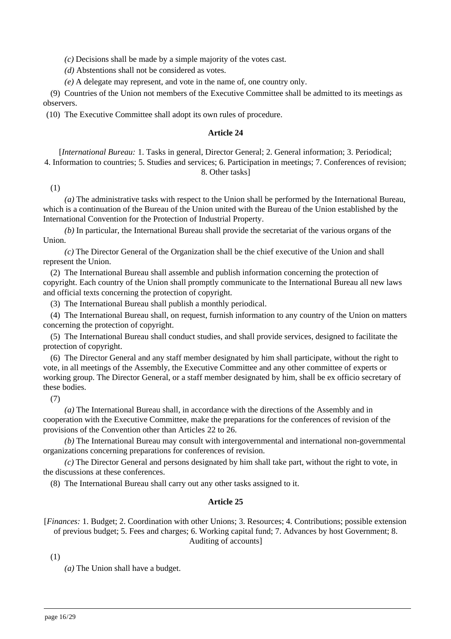*(c)* Decisions shall be made by a simple majority of the votes cast.

*(d)* Abstentions shall not be considered as votes.

*(e)* A delegate may represent, and vote in the name of, one country only.

(9) Countries of the Union not members of the Executive Committee shall be admitted to its meetings as observers.

(10) The Executive Committee shall adopt its own rules of procedure.

## **Article 24**

[*International Bureau:* 1. Tasks in general, Director General; 2. General information; 3. Periodical; 4. Information to countries; 5. Studies and services; 6. Participation in meetings; 7. Conferences of revision; 8. Other tasks]

(1)

*(a)* The administrative tasks with respect to the Union shall be performed by the International Bureau, which is a continuation of the Bureau of the Union united with the Bureau of the Union established by the International Convention for the Protection of Industrial Property.

*(b)* In particular, the International Bureau shall provide the secretariat of the various organs of the Union.

*(c)* The Director General of the Organization shall be the chief executive of the Union and shall represent the Union.

(2) The International Bureau shall assemble and publish information concerning the protection of copyright. Each country of the Union shall promptly communicate to the International Bureau all new laws and official texts concerning the protection of copyright.

(3) The International Bureau shall publish a monthly periodical.

(4) The International Bureau shall, on request, furnish information to any country of the Union on matters concerning the protection of copyright.

(5) The International Bureau shall conduct studies, and shall provide services, designed to facilitate the protection of copyright.

(6) The Director General and any staff member designated by him shall participate, without the right to vote, in all meetings of the Assembly, the Executive Committee and any other committee of experts or working group. The Director General, or a staff member designated by him, shall be ex officio secretary of these bodies.

(7)

*(a)* The International Bureau shall, in accordance with the directions of the Assembly and in cooperation with the Executive Committee, make the preparations for the conferences of revision of the provisions of the Convention other than Articles 22 to 26.

*(b)* The International Bureau may consult with intergovernmental and international non-governmental organizations concerning preparations for conferences of revision.

*(c)* The Director General and persons designated by him shall take part, without the right to vote, in the discussions at these conferences.

(8) The International Bureau shall carry out any other tasks assigned to it.

### **Article 25**

[*Finances:* 1. Budget; 2. Coordination with other Unions; 3. Resources; 4. Contributions; possible extension of previous budget; 5. Fees and charges; 6. Working capital fund; 7. Advances by host Government; 8. Auditing of accounts]

(1)

*(a)* The Union shall have a budget.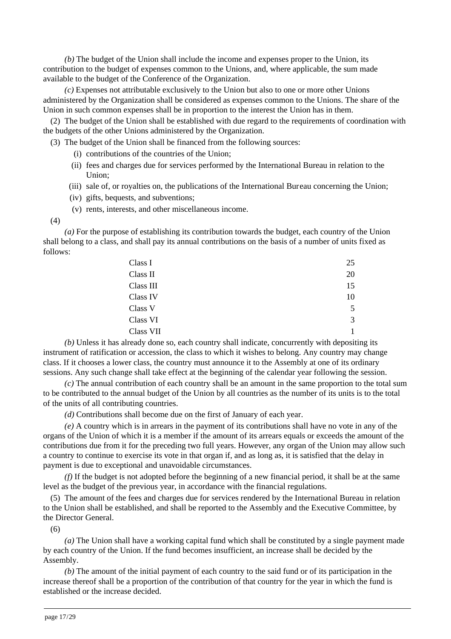*(b)* The budget of the Union shall include the income and expenses proper to the Union, its contribution to the budget of expenses common to the Unions, and, where applicable, the sum made available to the budget of the Conference of the Organization.

*(c)* Expenses not attributable exclusively to the Union but also to one or more other Unions administered by the Organization shall be considered as expenses common to the Unions. The share of the Union in such common expenses shall be in proportion to the interest the Union has in them.

(2) The budget of the Union shall be established with due regard to the requirements of coordination with the budgets of the other Unions administered by the Organization.

(3) The budget of the Union shall be financed from the following sources:

- (i) contributions of the countries of the Union;
- (ii) fees and charges due for services performed by the International Bureau in relation to the Union;
- (iii) sale of, or royalties on, the publications of the International Bureau concerning the Union;
- (iv) gifts, bequests, and subventions;
- (v) rents, interests, and other miscellaneous income.
- (4)

*(a)* For the purpose of establishing its contribution towards the budget, each country of the Union shall belong to a class, and shall pay its annual contributions on the basis of a number of units fixed as follows:

| Class I   | 25 |
|-----------|----|
| Class II  | 20 |
| Class III | 15 |
| Class IV  | 10 |
| Class V   | 5  |
| Class VI  | 3  |
| Class VII |    |

*(b)* Unless it has already done so, each country shall indicate, concurrently with depositing its instrument of ratification or accession, the class to which it wishes to belong. Any country may change class. If it chooses a lower class, the country must announce it to the Assembly at one of its ordinary sessions. Any such change shall take effect at the beginning of the calendar year following the session.

*(c)* The annual contribution of each country shall be an amount in the same proportion to the total sum to be contributed to the annual budget of the Union by all countries as the number of its units is to the total of the units of all contributing countries.

*(d)* Contributions shall become due on the first of January of each year.

*(e)* A country which is in arrears in the payment of its contributions shall have no vote in any of the organs of the Union of which it is a member if the amount of its arrears equals or exceeds the amount of the contributions due from it for the preceding two full years. However, any organ of the Union may allow such a country to continue to exercise its vote in that organ if, and as long as, it is satisfied that the delay in payment is due to exceptional and unavoidable circumstances.

*(f)* If the budget is not adopted before the beginning of a new financial period, it shall be at the same level as the budget of the previous year, in accordance with the financial regulations.

(5) The amount of the fees and charges due for services rendered by the International Bureau in relation to the Union shall be established, and shall be reported to the Assembly and the Executive Committee, by the Director General.

(6)

*(a)* The Union shall have a working capital fund which shall be constituted by a single payment made by each country of the Union. If the fund becomes insufficient, an increase shall be decided by the Assembly.

*(b)* The amount of the initial payment of each country to the said fund or of its participation in the increase thereof shall be a proportion of the contribution of that country for the year in which the fund is established or the increase decided.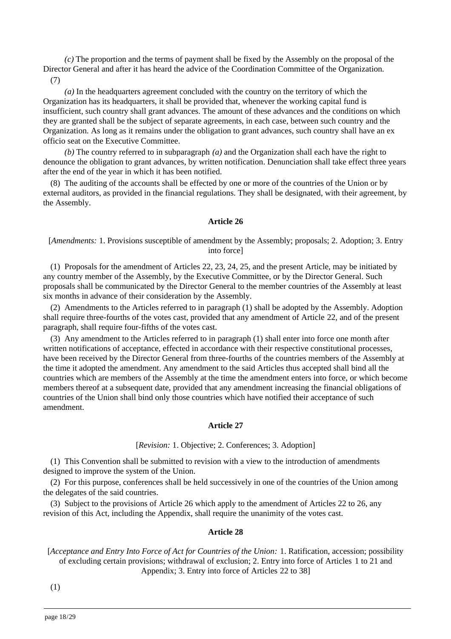*(c)* The proportion and the terms of payment shall be fixed by the Assembly on the proposal of the Director General and after it has heard the advice of the Coordination Committee of the Organization.

(7)

*(a)* In the headquarters agreement concluded with the country on the territory of which the Organization has its headquarters, it shall be provided that, whenever the working capital fund is insufficient, such country shall grant advances. The amount of these advances and the conditions on which they are granted shall be the subject of separate agreements, in each case, between such country and the Organization. As long as it remains under the obligation to grant advances, such country shall have an ex officio seat on the Executive Committee.

*(b)* The country referred to in subparagraph *(a)* and the Organization shall each have the right to denounce the obligation to grant advances, by written notification. Denunciation shall take effect three years after the end of the year in which it has been notified.

(8) The auditing of the accounts shall be effected by one or more of the countries of the Union or by external auditors, as provided in the financial regulations. They shall be designated, with their agreement, by the Assembly.

#### **Article 26**

## [Amendments: 1. Provisions susceptible of amendment by the Assembly; proposals; 2. Adoption; 3. Entry into force]

(1) Proposals for the amendment of Articles 22, 23, 24, 25, and the present Article, may be initiated by any country member of the Assembly, by the Executive Committee, or by the Director General. Such proposals shall be communicated by the Director General to the member countries of the Assembly at least six months in advance of their consideration by the Assembly.

(2) Amendments to the Articles referred to in paragraph (1) shall be adopted by the Assembly. Adoption shall require three-fourths of the votes cast, provided that any amendment of Article 22, and of the present paragraph, shall require four-fifths of the votes cast.

(3) Any amendment to the Articles referred to in paragraph (1) shall enter into force one month after written notifications of acceptance, effected in accordance with their respective constitutional processes, have been received by the Director General from three-fourths of the countries members of the Assembly at the time it adopted the amendment. Any amendment to the said Articles thus accepted shall bind all the countries which are members of the Assembly at the time the amendment enters into force, or which become members thereof at a subsequent date, provided that any amendment increasing the financial obligations of countries of the Union shall bind only those countries which have notified their acceptance of such amendment.

#### **Article 27**

#### [*Revision:* 1. Objective; 2. Conferences; 3. Adoption]

(1) This Convention shall be submitted to revision with a view to the introduction of amendments designed to improve the system of the Union.

(2) For this purpose, conferences shall be held successively in one of the countries of the Union among the delegates of the said countries.

(3) Subject to the provisions of Article 26 which apply to the amendment of Articles 22 to 26, any revision of this Act, including the Appendix, shall require the unanimity of the votes cast.

#### **Article 28**

[*Acceptance and Entry Into Force of Act for Countries of the Union:* 1. Ratification, accession; possibility of excluding certain provisions; withdrawal of exclusion; 2. Entry into force of Articles 1 to 21 and Appendix; 3. Entry into force of Articles 22 to 38]

(1)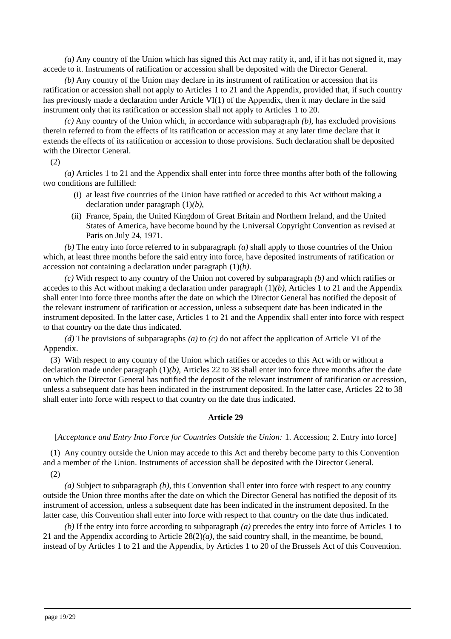*(a)* Any country of the Union which has signed this Act may ratify it, and, if it has not signed it, may accede to it. Instruments of ratification or accession shall be deposited with the Director General.

*(b)* Any country of the Union may declare in its instrument of ratification or accession that its ratification or accession shall not apply to Articles 1 to 21 and the Appendix, provided that, if such country has previously made a declaration under Article VI(1) of the Appendix, then it may declare in the said instrument only that its ratification or accession shall not apply to Articles 1 to 20.

*(c)* Any country of the Union which, in accordance with subparagraph *(b)*, has excluded provisions therein referred to from the effects of its ratification or accession may at any later time declare that it extends the effects of its ratification or accession to those provisions. Such declaration shall be deposited with the Director General.

(2)

*(a)* Articles 1 to 21 and the Appendix shall enter into force three months after both of the following two conditions are fulfilled:

- (i) at least five countries of the Union have ratified or acceded to this Act without making a declaration under paragraph (1)*(b)*,
- (ii) France, Spain, the United Kingdom of Great Britain and Northern Ireland, and the United States of America, have become bound by the Universal Copyright Convention as revised at Paris on July 24, 1971.

*(b)* The entry into force referred to in subparagraph *(a)* shall apply to those countries of the Union which, at least three months before the said entry into force, have deposited instruments of ratification or accession not containing a declaration under paragraph (1)*(b)*.

*(c)* With respect to any country of the Union not covered by subparagraph *(b)* and which ratifies or accedes to this Act without making a declaration under paragraph (1)*(b)*, Articles 1 to 21 and the Appendix shall enter into force three months after the date on which the Director General has notified the deposit of the relevant instrument of ratification or accession, unless a subsequent date has been indicated in the instrument deposited. In the latter case, Articles 1 to 21 and the Appendix shall enter into force with respect to that country on the date thus indicated.

*(d)* The provisions of subparagraphs *(a)* to *(c)* do not affect the application of Article VI of the Appendix.

(3) With respect to any country of the Union which ratifies or accedes to this Act with or without a declaration made under paragraph (1)*(b)*, Articles 22 to 38 shall enter into force three months after the date on which the Director General has notified the deposit of the relevant instrument of ratification or accession, unless a subsequent date has been indicated in the instrument deposited. In the latter case, Articles 22 to 38 shall enter into force with respect to that country on the date thus indicated.

### **Article 29**

### [*Acceptance and Entry Into Force for Countries Outside the Union:* 1. Accession; 2. Entry into force]

(1) Any country outside the Union may accede to this Act and thereby become party to this Convention and a member of the Union. Instruments of accession shall be deposited with the Director General. (2)

*(a)* Subject to subparagraph *(b)*, this Convention shall enter into force with respect to any country outside the Union three months after the date on which the Director General has notified the deposit of its instrument of accession, unless a subsequent date has been indicated in the instrument deposited. In the latter case, this Convention shall enter into force with respect to that country on the date thus indicated.

*(b)* If the entry into force according to subparagraph *(a)* precedes the entry into force of Articles 1 to 21 and the Appendix according to Article 28(2)*(a)*, the said country shall, in the meantime, be bound, instead of by Articles 1 to 21 and the Appendix, by Articles 1 to 20 of the Brussels Act of this Convention.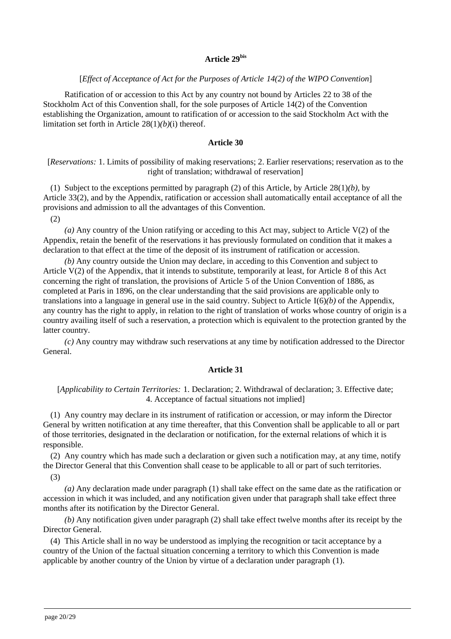## **Article 29bis**

### [*Effect of Acceptance of Act for the Purposes of Article 14(2) of the WIPO Convention*]

Ratification of or accession to this Act by any country not bound by Articles 22 to 38 of the Stockholm Act of this Convention shall, for the sole purposes of Article 14(2) of the Convention establishing the Organization, amount to ratification of or accession to the said Stockholm Act with the limitation set forth in Article 28(1)*(b)*(i) thereof.

#### **Article 30**

[*Reservations:* 1. Limits of possibility of making reservations; 2. Earlier reservations; reservation as to the right of translation; withdrawal of reservation]

(1) Subject to the exceptions permitted by paragraph (2) of this Article, by Article 28(1)*(b)*, by Article 33(2), and by the Appendix, ratification or accession shall automatically entail acceptance of all the provisions and admission to all the advantages of this Convention.

(2)

*(a)* Any country of the Union ratifying or acceding to this Act may, subject to Article V(2) of the Appendix, retain the benefit of the reservations it has previously formulated on condition that it makes a declaration to that effect at the time of the deposit of its instrument of ratification or accession.

*(b)* Any country outside the Union may declare, in acceding to this Convention and subject to Article V(2) of the Appendix, that it intends to substitute, temporarily at least, for Article 8 of this Act concerning the right of translation, the provisions of Article 5 of the Union Convention of 1886, as completed at Paris in 1896, on the clear understanding that the said provisions are applicable only to translations into a language in general use in the said country. Subject to Article I(6)*(b)* of the Appendix, any country has the right to apply, in relation to the right of translation of works whose country of origin is a country availing itself of such a reservation, a protection which is equivalent to the protection granted by the latter country.

*(c)* Any country may withdraw such reservations at any time by notification addressed to the Director General.

#### **Article 31**

### [*Applicability to Certain Territories:* 1. Declaration; 2. Withdrawal of declaration; 3. Effective date; 4. Acceptance of factual situations not implied]

(1) Any country may declare in its instrument of ratification or accession, or may inform the Director General by written notification at any time thereafter, that this Convention shall be applicable to all or part of those territories, designated in the declaration or notification, for the external relations of which it is responsible.

(2) Any country which has made such a declaration or given such a notification may, at any time, notify the Director General that this Convention shall cease to be applicable to all or part of such territories. (3)

*(a)* Any declaration made under paragraph (1) shall take effect on the same date as the ratification or accession in which it was included, and any notification given under that paragraph shall take effect three months after its notification by the Director General.

*(b)* Any notification given under paragraph (2) shall take effect twelve months after its receipt by the Director General.

(4) This Article shall in no way be understood as implying the recognition or tacit acceptance by a country of the Union of the factual situation concerning a territory to which this Convention is made applicable by another country of the Union by virtue of a declaration under paragraph (1).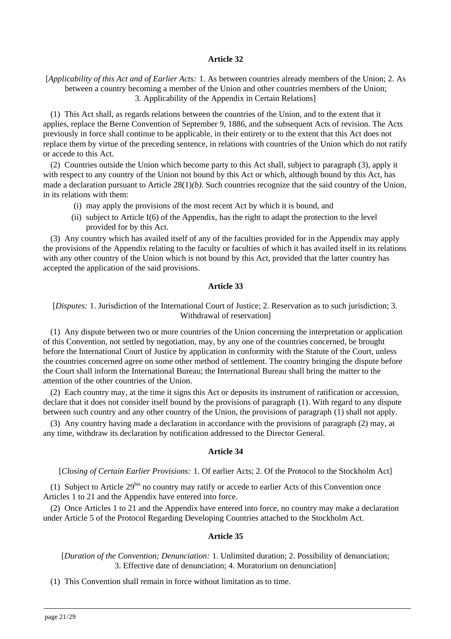#### **Article 32**

[*Applicability of this Act and of Earlier Acts:* 1. As between countries already members of the Union; 2. As between a country becoming a member of the Union and other countries members of the Union; 3. Applicability of the Appendix in Certain Relations]

(1) This Act shall, as regards relations between the countries of the Union, and to the extent that it applies, replace the Berne Convention of September 9, 1886, and the subsequent Acts of revision. The Acts previously in force shall continue to be applicable, in their entirety or to the extent that this Act does not replace them by virtue of the preceding sentence, in relations with countries of the Union which do not ratify or accede to this Act.

(2) Countries outside the Union which become party to this Act shall, subject to paragraph (3), apply it with respect to any country of the Union not bound by this Act or which, although bound by this Act, has made a declaration pursuant to Article 28(1)*(b)*. Such countries recognize that the said country of the Union, in its relations with them:

- (i) may apply the provisions of the most recent Act by which it is bound, and
- (ii) subject to Article I(6) of the Appendix, has the right to adapt the protection to the level provided for by this Act.

(3) Any country which has availed itself of any of the faculties provided for in the Appendix may apply the provisions of the Appendix relating to the faculty or faculties of which it has availed itself in its relations with any other country of the Union which is not bound by this Act, provided that the latter country has accepted the application of the said provisions.

#### **Article 33**

### [*Disputes:* 1. Jurisdiction of the International Court of Justice; 2. Reservation as to such jurisdiction; 3. Withdrawal of reservation]

(1) Any dispute between two or more countries of the Union concerning the interpretation or application of this Convention, not settled by negotiation, may, by any one of the countries concerned, be brought before the International Court of Justice by application in conformity with the Statute of the Court, unless the countries concerned agree on some other method of settlement. The country bringing the dispute before the Court shall inform the International Bureau; the International Bureau shall bring the matter to the attention of the other countries of the Union.

(2) Each country may, at the time it signs this Act or deposits its instrument of ratification or accession, declare that it does not consider itself bound by the provisions of paragraph (1). With regard to any dispute between such country and any other country of the Union, the provisions of paragraph (1) shall not apply.

(3) Any country having made a declaration in accordance with the provisions of paragraph (2) may, at any time, withdraw its declaration by notification addressed to the Director General.

#### **Article 34**

## [*Closing of Certain Earlier Provisions:* 1. Of earlier Acts; 2. Of the Protocol to the Stockholm Act]

(1) Subject to Article  $29^{bis}$  no country may ratify or accede to earlier Acts of this Convention once Articles 1 to 21 and the Appendix have entered into force.

(2) Once Articles 1 to 21 and the Appendix have entered into force, no country may make a declaration under Article 5 of the Protocol Regarding Developing Countries attached to the Stockholm Act.

#### **Article 35**

[*Duration of the Convention; Denunciation:* 1. Unlimited duration; 2. Possibility of denunciation; 3. Effective date of denunciation; 4. Moratorium on denunciation]

(1) This Convention shall remain in force without limitation as to time.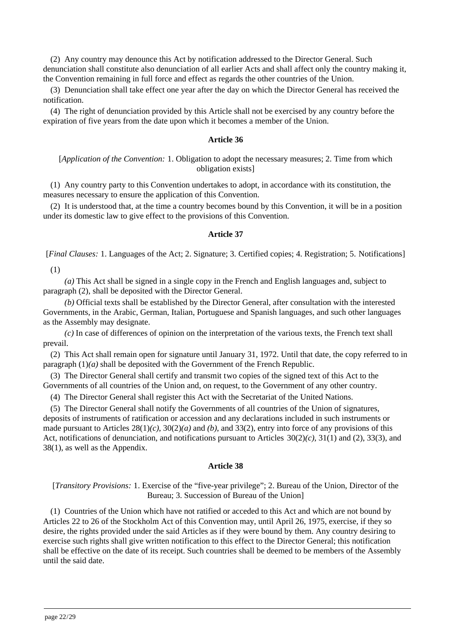(2) Any country may denounce this Act by notification addressed to the Director General. Such denunciation shall constitute also denunciation of all earlier Acts and shall affect only the country making it, the Convention remaining in full force and effect as regards the other countries of the Union.

(3) Denunciation shall take effect one year after the day on which the Director General has received the notification.

(4) The right of denunciation provided by this Article shall not be exercised by any country before the expiration of five years from the date upon which it becomes a member of the Union.

### **Article 36**

[*Application of the Convention:* 1. Obligation to adopt the necessary measures; 2. Time from which obligation exists]

(1) Any country party to this Convention undertakes to adopt, in accordance with its constitution, the measures necessary to ensure the application of this Convention.

(2) It is understood that, at the time a country becomes bound by this Convention, it will be in a position under its domestic law to give effect to the provisions of this Convention.

#### **Article 37**

[*Final Clauses:* 1. Languages of the Act; 2. Signature; 3. Certified copies; 4. Registration; 5. Notifications]

(1)

*(a)* This Act shall be signed in a single copy in the French and English languages and, subject to paragraph (2), shall be deposited with the Director General.

*(b)* Official texts shall be established by the Director General, after consultation with the interested Governments, in the Arabic, German, Italian, Portuguese and Spanish languages, and such other languages as the Assembly may designate.

*(c)* In case of differences of opinion on the interpretation of the various texts, the French text shall prevail.

(2) This Act shall remain open for signature until January 31, 1972. Until that date, the copy referred to in paragraph (1)*(a)* shall be deposited with the Government of the French Republic.

(3) The Director General shall certify and transmit two copies of the signed text of this Act to the Governments of all countries of the Union and, on request, to the Government of any other country.

(4) The Director General shall register this Act with the Secretariat of the United Nations.

(5) The Director General shall notify the Governments of all countries of the Union of signatures, deposits of instruments of ratification or accession and any declarations included in such instruments or made pursuant to Articles 28(1)*(c)*, 30(2)*(a)* and *(b)*, and 33(2), entry into force of any provisions of this Act, notifications of denunciation, and notifications pursuant to Articles 30(2)*(c)*, 31(1) and (2), 33(3), and 38(1), as well as the Appendix.

#### **Article 38**

[*Transitory Provisions:* 1. Exercise of the "five-year privilege"; 2. Bureau of the Union, Director of the Bureau; 3. Succession of Bureau of the Union]

(1) Countries of the Union which have not ratified or acceded to this Act and which are not bound by Articles 22 to 26 of the Stockholm Act of this Convention may, until April 26, 1975, exercise, if they so desire, the rights provided under the said Articles as if they were bound by them. Any country desiring to exercise such rights shall give written notification to this effect to the Director General; this notification shall be effective on the date of its receipt. Such countries shall be deemed to be members of the Assembly until the said date.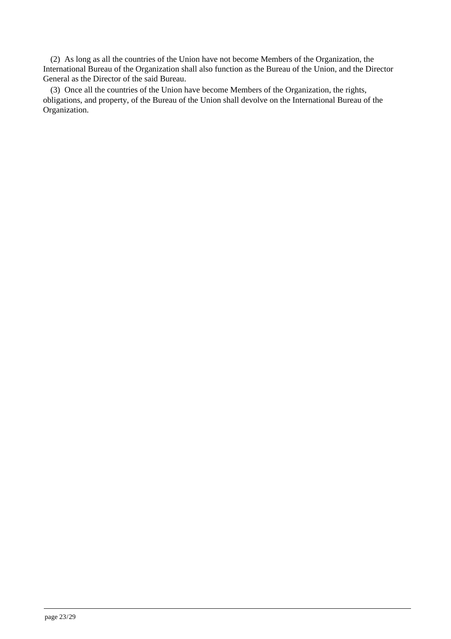(2) As long as all the countries of the Union have not become Members of the Organization, the International Bureau of the Organization shall also function as the Bureau of the Union, and the Director General as the Director of the said Bureau.

(3) Once all the countries of the Union have become Members of the Organization, the rights, obligations, and property, of the Bureau of the Union shall devolve on the International Bureau of the Organization.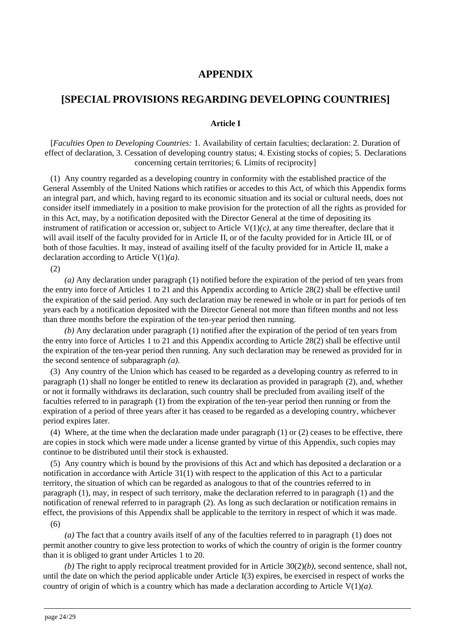## **APPENDIX**

## **[SPECIAL PROVISIONS REGARDING DEVELOPING COUNTRIES]**

## **Article I**

[*Faculties Open to Developing Countries:* 1. Availability of certain faculties; declaration: 2. Duration of effect of declaration, 3. Cessation of developing country status; 4. Existing stocks of copies; 5. Declarations concerning certain territories; 6. Limits of reciprocity]

(1) Any country regarded as a developing country in conformity with the established practice of the General Assembly of the United Nations which ratifies or accedes to this Act, of which this Appendix forms an integral part, and which, having regard to its economic situation and its social or cultural needs, does not consider itself immediately in a position to make provision for the protection of all the rights as provided for in this Act, may, by a notification deposited with the Director General at the time of depositing its instrument of ratification or accession or, subject to Article  $V(1)(c)$ , at any time thereafter, declare that it will avail itself of the faculty provided for in Article II, or of the faculty provided for in Article III, or of both of those faculties. It may, instead of availing itself of the faculty provided for in Article II, make a declaration according to Article V(1)*(a)*.

(2)

*(a)* Any declaration under paragraph (1) notified before the expiration of the period of ten years from the entry into force of Articles 1 to 21 and this Appendix according to Article 28(2) shall be effective until the expiration of the said period. Any such declaration may be renewed in whole or in part for periods of ten years each by a notification deposited with the Director General not more than fifteen months and not less than three months before the expiration of the ten-year period then running.

*(b)* Any declaration under paragraph (1) notified after the expiration of the period of ten years from the entry into force of Articles 1 to 21 and this Appendix according to Article 28(2) shall be effective until the expiration of the ten-year period then running. Any such declaration may be renewed as provided for in the second sentence of subparagraph *(a)*.

(3) Any country of the Union which has ceased to be regarded as a developing country as referred to in paragraph (1) shall no longer be entitled to renew its declaration as provided in paragraph (2), and, whether or not it formally withdraws its declaration, such country shall be precluded from availing itself of the faculties referred to in paragraph (1) from the expiration of the ten-year period then running or from the expiration of a period of three years after it has ceased to be regarded as a developing country, whichever period expires later.

(4) Where, at the time when the declaration made under paragraph (1) or (2) ceases to be effective, there are copies in stock which were made under a license granted by virtue of this Appendix, such copies may continue to be distributed until their stock is exhausted.

(5) Any country which is bound by the provisions of this Act and which has deposited a declaration or a notification in accordance with Article 31(1) with respect to the application of this Act to a particular territory, the situation of which can be regarded as analogous to that of the countries referred to in paragraph (1), may, in respect of such territory, make the declaration referred to in paragraph (1) and the notification of renewal referred to in paragraph (2). As long as such declaration or notification remains in effect, the provisions of this Appendix shall be applicable to the territory in respect of which it was made.

(6)

*(a)* The fact that a country avails itself of any of the faculties referred to in paragraph (1) does not permit another country to give less protection to works of which the country of origin is the former country than it is obliged to grant under Articles 1 to 20.

*(b)* The right to apply reciprocal treatment provided for in Article 30(2)*(b)*, second sentence, shall not, until the date on which the period applicable under Article I(3) expires, be exercised in respect of works the country of origin of which is a country which has made a declaration according to Article V(1)*(a)*.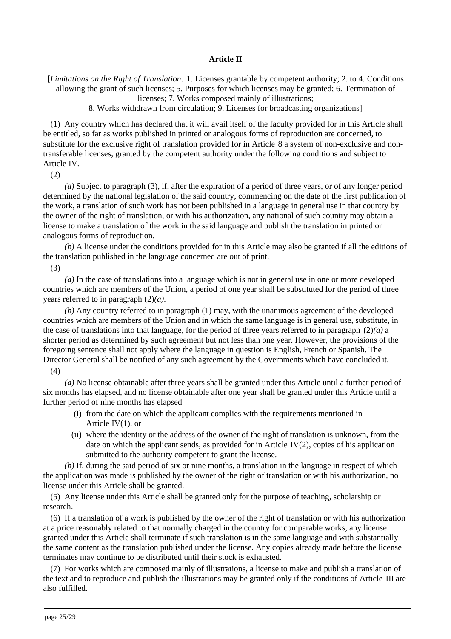### **Article II**

[*Limitations on the Right of Translation:* 1. Licenses grantable by competent authority; 2. to 4. Conditions allowing the grant of such licenses; 5. Purposes for which licenses may be granted; 6. Termination of licenses; 7. Works composed mainly of illustrations;

8. Works withdrawn from circulation; 9. Licenses for broadcasting organizations]

(1) Any country which has declared that it will avail itself of the faculty provided for in this Article shall be entitled, so far as works published in printed or analogous forms of reproduction are concerned, to substitute for the exclusive right of translation provided for in Article 8 a system of non-exclusive and nontransferable licenses, granted by the competent authority under the following conditions and subject to Article IV.

(2)

*(a)* Subject to paragraph (3), if, after the expiration of a period of three years, or of any longer period determined by the national legislation of the said country, commencing on the date of the first publication of the work, a translation of such work has not been published in a language in general use in that country by the owner of the right of translation, or with his authorization, any national of such country may obtain a license to make a translation of the work in the said language and publish the translation in printed or analogous forms of reproduction.

*(b)* A license under the conditions provided for in this Article may also be granted if all the editions of the translation published in the language concerned are out of print.

(3)

*(a)* In the case of translations into a language which is not in general use in one or more developed countries which are members of the Union, a period of one year shall be substituted for the period of three years referred to in paragraph (2)*(a)*.

*(b)* Any country referred to in paragraph (1) may, with the unanimous agreement of the developed countries which are members of the Union and in which the same language is in general use, substitute, in the case of translations into that language, for the period of three years referred to in paragraph  $(2)(a)$  a shorter period as determined by such agreement but not less than one year. However, the provisions of the foregoing sentence shall not apply where the language in question is English, French or Spanish. The Director General shall be notified of any such agreement by the Governments which have concluded it.

 $(4)$ 

*(a)* No license obtainable after three years shall be granted under this Article until a further period of six months has elapsed, and no license obtainable after one year shall be granted under this Article until a further period of nine months has elapsed

- (i) from the date on which the applicant complies with the requirements mentioned in Article IV(1), or
- (ii) where the identity or the address of the owner of the right of translation is unknown, from the date on which the applicant sends, as provided for in Article IV(2), copies of his application submitted to the authority competent to grant the license.

*(b)* If, during the said period of six or nine months, a translation in the language in respect of which the application was made is published by the owner of the right of translation or with his authorization, no license under this Article shall be granted.

(5) Any license under this Article shall be granted only for the purpose of teaching, scholarship or research.

(6) If a translation of a work is published by the owner of the right of translation or with his authorization at a price reasonably related to that normally charged in the country for comparable works, any license granted under this Article shall terminate if such translation is in the same language and with substantially the same content as the translation published under the license. Any copies already made before the license terminates may continue to be distributed until their stock is exhausted.

(7) For works which are composed mainly of illustrations, a license to make and publish a translation of the text and to reproduce and publish the illustrations may be granted only if the conditions of Article III are also fulfilled.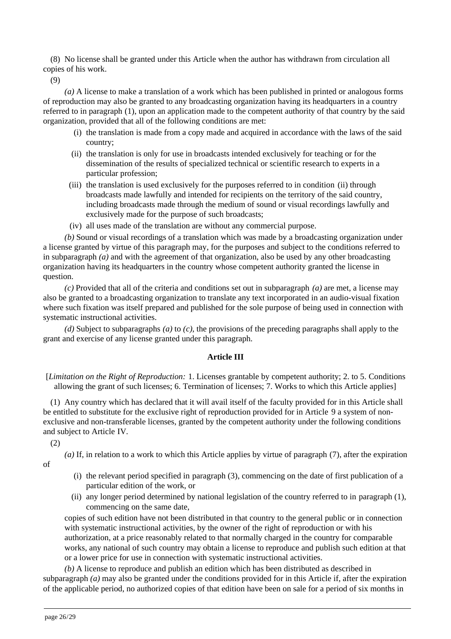(8) No license shall be granted under this Article when the author has withdrawn from circulation all copies of his work.

(9)

*(a)* A license to make a translation of a work which has been published in printed or analogous forms of reproduction may also be granted to any broadcasting organization having its headquarters in a country referred to in paragraph (1), upon an application made to the competent authority of that country by the said organization, provided that all of the following conditions are met:

- (i) the translation is made from a copy made and acquired in accordance with the laws of the said country;
- (ii) the translation is only for use in broadcasts intended exclusively for teaching or for the dissemination of the results of specialized technical or scientific research to experts in a particular profession;
- (iii) the translation is used exclusively for the purposes referred to in condition (ii) through broadcasts made lawfully and intended for recipients on the territory of the said country, including broadcasts made through the medium of sound or visual recordings lawfully and exclusively made for the purpose of such broadcasts;
- (iv) all uses made of the translation are without any commercial purpose.

*(b)* Sound or visual recordings of a translation which was made by a broadcasting organization under a license granted by virtue of this paragraph may, for the purposes and subject to the conditions referred to in subparagraph *(a)* and with the agreement of that organization, also be used by any other broadcasting organization having its headquarters in the country whose competent authority granted the license in question.

*(c)* Provided that all of the criteria and conditions set out in subparagraph *(a)* are met, a license may also be granted to a broadcasting organization to translate any text incorporated in an audio-visual fixation where such fixation was itself prepared and published for the sole purpose of being used in connection with systematic instructional activities.

*(d)* Subject to subparagraphs *(a)* to *(c)*, the provisions of the preceding paragraphs shall apply to the grant and exercise of any license granted under this paragraph.

### **Article III**

[*Limitation on the Right of Reproduction:* 1. Licenses grantable by competent authority; 2. to 5. Conditions allowing the grant of such licenses; 6. Termination of licenses; 7. Works to which this Article applies]

(1) Any country which has declared that it will avail itself of the faculty provided for in this Article shall be entitled to substitute for the exclusive right of reproduction provided for in Article 9 a system of nonexclusive and non-transferable licenses, granted by the competent authority under the following conditions and subject to Article IV.

(2)

of

*(a)* If, in relation to a work to which this Article applies by virtue of paragraph (7), after the expiration

- (i) the relevant period specified in paragraph (3), commencing on the date of first publication of a particular edition of the work, or
- (ii) any longer period determined by national legislation of the country referred to in paragraph (1), commencing on the same date,

copies of such edition have not been distributed in that country to the general public or in connection with systematic instructional activities, by the owner of the right of reproduction or with his authorization, at a price reasonably related to that normally charged in the country for comparable works, any national of such country may obtain a license to reproduce and publish such edition at that or a lower price for use in connection with systematic instructional activities.

*(b)* A license to reproduce and publish an edition which has been distributed as described in subparagraph *(a)* may also be granted under the conditions provided for in this Article if, after the expiration of the applicable period, no authorized copies of that edition have been on sale for a period of six months in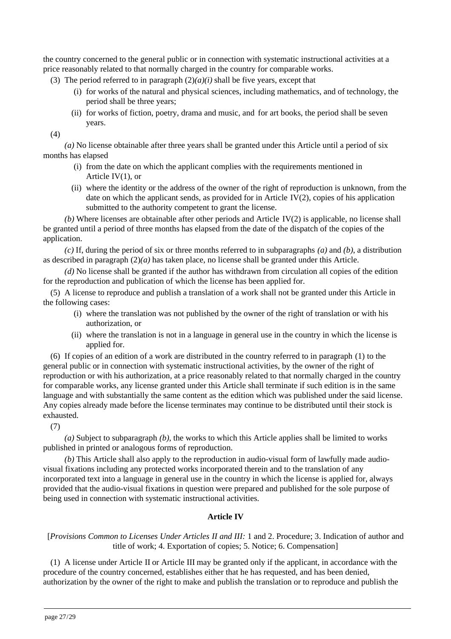the country concerned to the general public or in connection with systematic instructional activities at a price reasonably related to that normally charged in the country for comparable works.

- (3) The period referred to in paragraph  $(2)(a)(i)$  shall be five years, except that
	- (i) for works of the natural and physical sciences, including mathematics, and of technology, the period shall be three years;
	- (ii) for works of fiction, poetry, drama and music, and for art books, the period shall be seven years.

 $(4)$ 

*(a)* No license obtainable after three years shall be granted under this Article until a period of six months has elapsed

- (i) from the date on which the applicant complies with the requirements mentioned in Article IV(1), or
- (ii) where the identity or the address of the owner of the right of reproduction is unknown, from the date on which the applicant sends, as provided for in Article IV(2), copies of his application submitted to the authority competent to grant the license.

*(b)* Where licenses are obtainable after other periods and Article IV(2) is applicable, no license shall be granted until a period of three months has elapsed from the date of the dispatch of the copies of the application.

*(c)* If, during the period of six or three months referred to in subparagraphs *(a)* and *(b)*, a distribution as described in paragraph (2)*(a)* has taken place, no license shall be granted under this Article.

*(d)* No license shall be granted if the author has withdrawn from circulation all copies of the edition for the reproduction and publication of which the license has been applied for.

(5) A license to reproduce and publish a translation of a work shall not be granted under this Article in the following cases:

- (i) where the translation was not published by the owner of the right of translation or with his authorization, or
- (ii) where the translation is not in a language in general use in the country in which the license is applied for.

(6) If copies of an edition of a work are distributed in the country referred to in paragraph (1) to the general public or in connection with systematic instructional activities, by the owner of the right of reproduction or with his authorization, at a price reasonably related to that normally charged in the country for comparable works, any license granted under this Article shall terminate if such edition is in the same language and with substantially the same content as the edition which was published under the said license. Any copies already made before the license terminates may continue to be distributed until their stock is exhausted.

(7)

*(a)* Subject to subparagraph *(b)*, the works to which this Article applies shall be limited to works published in printed or analogous forms of reproduction.

*(b)* This Article shall also apply to the reproduction in audio-visual form of lawfully made audiovisual fixations including any protected works incorporated therein and to the translation of any incorporated text into a language in general use in the country in which the license is applied for, always provided that the audio-visual fixations in question were prepared and published for the sole purpose of being used in connection with systematic instructional activities.

## **Article IV**

## [*Provisions Common to Licenses Under Articles II and III:* 1 and 2. Procedure; 3. Indication of author and title of work; 4. Exportation of copies; 5. Notice; 6. Compensation]

(1) A license under Article II or Article III may be granted only if the applicant, in accordance with the procedure of the country concerned, establishes either that he has requested, and has been denied, authorization by the owner of the right to make and publish the translation or to reproduce and publish the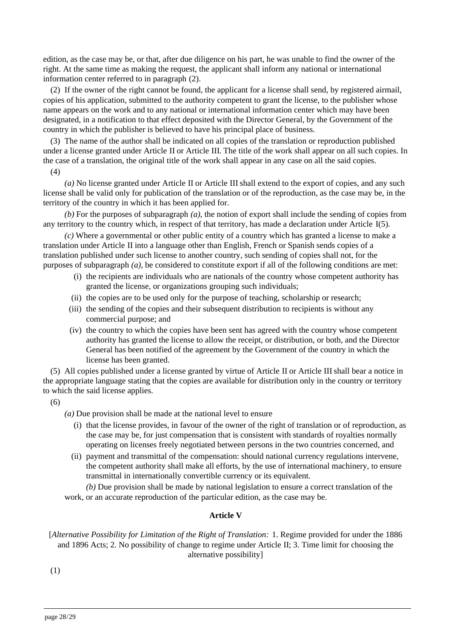edition, as the case may be, or that, after due diligence on his part, he was unable to find the owner of the right. At the same time as making the request, the applicant shall inform any national or international information center referred to in paragraph (2).

(2) If the owner of the right cannot be found, the applicant for a license shall send, by registered airmail, copies of his application, submitted to the authority competent to grant the license, to the publisher whose name appears on the work and to any national or international information center which may have been designated, in a notification to that effect deposited with the Director General, by the Government of the country in which the publisher is believed to have his principal place of business.

(3) The name of the author shall be indicated on all copies of the translation or reproduction published under a license granted under Article II or Article III. The title of the work shall appear on all such copies. In the case of a translation, the original title of the work shall appear in any case on all the said copies.

(4)

*(a)* No license granted under Article II or Article III shall extend to the export of copies, and any such license shall be valid only for publication of the translation or of the reproduction, as the case may be, in the territory of the country in which it has been applied for.

*(b)* For the purposes of subparagraph *(a)*, the notion of export shall include the sending of copies from any territory to the country which, in respect of that territory, has made a declaration under Article I(5).

*(c)* Where a governmental or other public entity of a country which has granted a license to make a translation under Article II into a language other than English, French or Spanish sends copies of a translation published under such license to another country, such sending of copies shall not, for the purposes of subparagraph *(a)*, be considered to constitute export if all of the following conditions are met:

- (i) the recipients are individuals who are nationals of the country whose competent authority has granted the license, or organizations grouping such individuals;
- (ii) the copies are to be used only for the purpose of teaching, scholarship or research;
- (iii) the sending of the copies and their subsequent distribution to recipients is without any commercial purpose; and
- (iv) the country to which the copies have been sent has agreed with the country whose competent authority has granted the license to allow the receipt, or distribution, or both, and the Director General has been notified of the agreement by the Government of the country in which the license has been granted.

(5) All copies published under a license granted by virtue of Article II or Article III shall bear a notice in the appropriate language stating that the copies are available for distribution only in the country or territory to which the said license applies.

(6)

*(a)* Due provision shall be made at the national level to ensure

- (i) that the license provides, in favour of the owner of the right of translation or of reproduction, as the case may be, for just compensation that is consistent with standards of royalties normally operating on licenses freely negotiated between persons in the two countries concerned, and
- (ii) payment and transmittal of the compensation: should national currency regulations intervene, the competent authority shall make all efforts, by the use of international machinery, to ensure transmittal in internationally convertible currency or its equivalent.

*(b)* Due provision shall be made by national legislation to ensure a correct translation of the work, or an accurate reproduction of the particular edition, as the case may be.

## **Article V**

## [*Alternative Possibility for Limitation of the Right of Translation:* 1. Regime provided for under the 1886 and 1896 Acts; 2. No possibility of change to regime under Article II; 3. Time limit for choosing the alternative possibility]

(1)